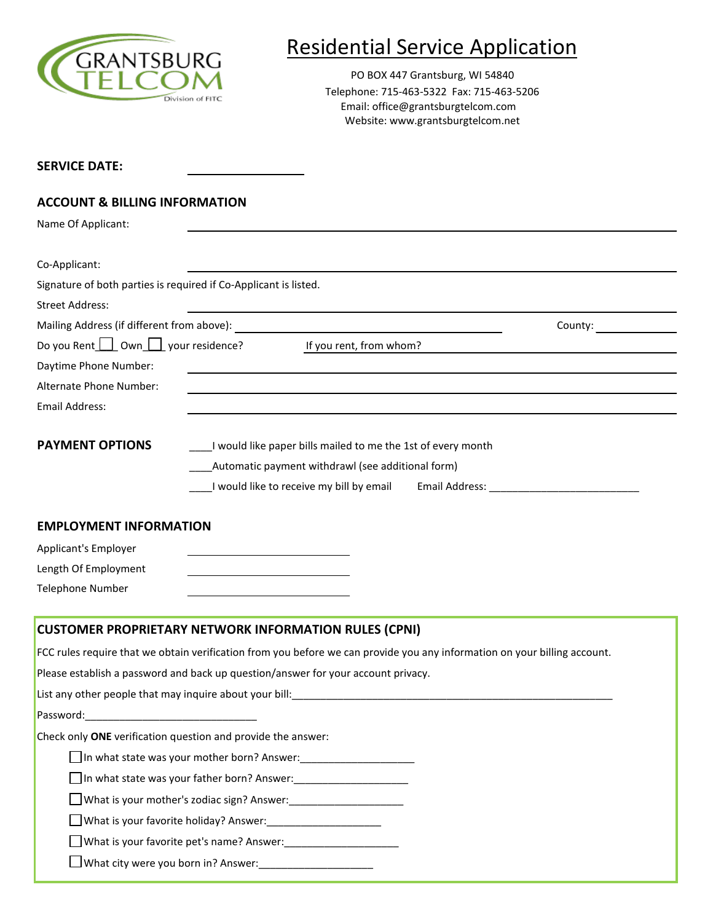

# Residential Service Application

PO BOX 447 Grantsburg, WI 54840 Telephone: 715-463-5322 Fax: 715-463-5206 Email: office@grantsburgtelcom.com Website: www.grantsburgtelcom.net

### **ACCOUNT & BILLING INFORMATION**

Name Of Applicant:

| <b>Natile Of Applicatit.</b>                  |                                                                                                                           |                                                                                                                       |                      |  |
|-----------------------------------------------|---------------------------------------------------------------------------------------------------------------------------|-----------------------------------------------------------------------------------------------------------------------|----------------------|--|
|                                               |                                                                                                                           |                                                                                                                       |                      |  |
| Co-Applicant:                                 |                                                                                                                           |                                                                                                                       |                      |  |
|                                               | Signature of both parties is required if Co-Applicant is listed.                                                          |                                                                                                                       |                      |  |
| <b>Street Address:</b>                        |                                                                                                                           |                                                                                                                       |                      |  |
| Mailing Address (if different from above):    |                                                                                                                           |                                                                                                                       | County: the country: |  |
| Do you Rent $\Box$ Own $\Box$ your residence? |                                                                                                                           | If you rent, from whom?                                                                                               |                      |  |
| Daytime Phone Number:                         |                                                                                                                           | <u> 1989 - Johann Harry Harry Harry Harry Harry Harry Harry Harry Harry Harry Harry Harry Harry Harry Harry Harry</u> |                      |  |
| Alternate Phone Number:                       |                                                                                                                           |                                                                                                                       |                      |  |
| <b>Email Address:</b>                         |                                                                                                                           |                                                                                                                       |                      |  |
| <b>PAYMENT OPTIONS</b>                        |                                                                                                                           | I would like paper bills mailed to me the 1st of every month                                                          |                      |  |
|                                               |                                                                                                                           | Automatic payment withdrawl (see additional form)                                                                     |                      |  |
|                                               | I would like to receive my bill by email                                                                                  |                                                                                                                       |                      |  |
|                                               |                                                                                                                           |                                                                                                                       |                      |  |
| <b>EMPLOYMENT INFORMATION</b>                 |                                                                                                                           |                                                                                                                       |                      |  |
| Applicant's Employer                          |                                                                                                                           |                                                                                                                       |                      |  |
| Length Of Employment                          |                                                                                                                           |                                                                                                                       |                      |  |
| <b>Telephone Number</b>                       |                                                                                                                           |                                                                                                                       |                      |  |
|                                               | <b>CUSTOMER PROPRIETARY NETWORK INFORMATION RULES (CPNI)</b>                                                              |                                                                                                                       |                      |  |
|                                               | FCC rules require that we obtain verification from you before we can provide you any information on your billing account. |                                                                                                                       |                      |  |
|                                               | Please establish a password and back up question/answer for your account privacy.                                         |                                                                                                                       |                      |  |
|                                               | List any other people that may inquire about your bill:<br>                                                               |                                                                                                                       |                      |  |
|                                               |                                                                                                                           |                                                                                                                       |                      |  |
|                                               | Check only ONE verification question and provide the answer:                                                              |                                                                                                                       |                      |  |
|                                               | In what state was your mother born? Answer:                                                                               |                                                                                                                       |                      |  |
|                                               | □ In what state was your father born? Answer:                                                                             |                                                                                                                       |                      |  |
|                                               |                                                                                                                           |                                                                                                                       |                      |  |

What is your mother's zodiac sign? Answer:\_\_\_\_\_\_\_\_\_\_\_\_\_\_\_\_\_\_\_\_

What is your favorite holiday? Answer:\_\_\_\_\_\_\_\_\_\_\_\_\_\_\_\_\_\_\_\_

What is your favorite pet's name? Answer:\_\_\_\_\_\_\_\_\_\_\_\_\_\_\_\_\_\_\_\_

 $\Box$  What city were you born in? Answer: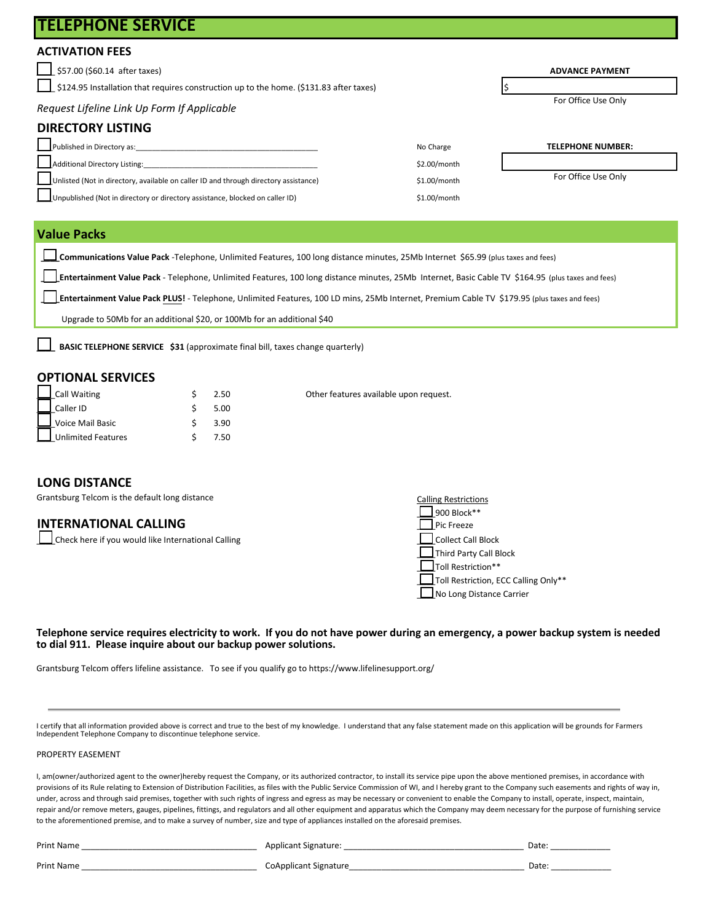| I I LLLF I IVINL JLINVIUL                                                                      |                     |                          |
|------------------------------------------------------------------------------------------------|---------------------|--------------------------|
| <b>ACTIVATION FEES</b>                                                                         |                     |                          |
| \$57.00 (\$60.14 after taxes)                                                                  |                     | <b>ADVANCE PAYMENT</b>   |
| $\Box$ \$124.95 Installation that requires construction up to the home. (\$131.83 after taxes) |                     |                          |
| Request Lifeline Link Up Form If Applicable                                                    | For Office Use Only |                          |
| <b>DIRECTORY LISTING</b>                                                                       |                     |                          |
| Published in Directory as:                                                                     | No Charge           | <b>TELEPHONE NUMBER:</b> |
| Additional Directory Listing:                                                                  | \$2.00/month        |                          |
| Unlisted (Not in directory, available on caller ID and through directory assistance)           | \$1.00/month        | For Office Use Only      |
| Unpublished (Not in directory or directory assistance, blocked on caller ID)                   | \$1.00/month        |                          |
|                                                                                                |                     |                          |

### **Value Packs**

**TELEPHONE SERVICE**

**\_\_\_\_Communications Value Pack** -Telephone, Unlimited Features, 100 long distance minutes, 25Mb Internet \$65.99 (plus taxes and fees)

**\_\_\_\_Entertainment Value Pack** - Telephone, Unlimited Features, 100 long distance minutes, 25Mb Internet, Basic Cable TV \$164.95 (plus taxes and fees)

Other features available upon request.

 **\_\_\_\_Entertainment Value Pack PLUS!** - Telephone, Unlimited Features, 100 LD mins, 25Mb Internet, Premium Cable TV \$179.95 (plus taxes and fees)

Upgrade to 50Mb for an additional \$20, or 100Mb for an additional \$40

**BASIC TELEPHONE SERVICE \$31 (approximate final bill, taxes change quarterly)** 

### **OPTIONAL SERVICES**

| Call Waiting              | 2.50 |
|---------------------------|------|
| Caller ID                 | 5.00 |
| Voice Mail Basic          | 3.90 |
| <b>Unlimited Features</b> | 7.50 |

### **LONG DISTANCE**

Grantsburg Telcom is the default long distance

### **INTERNATIONAL CALLING**

|  | Check here if you would like International Calling |  |
|--|----------------------------------------------------|--|
|  |                                                    |  |

| <b>Calling Restrictions</b>          |
|--------------------------------------|
| 900 Block**                          |
| Pic Freeze                           |
| <b>Collect Call Block</b>            |
| Third Party Call Block               |
| Toll Restriction**                   |
| Toll Restriction, ECC Calling Only** |
| No Long Distance Carrier             |

### **Telephone service requires electricity to work. If you do not have power during an emergency, a power backup system is needed to dial 911. Please inquire about our backup power solutions.**

Grantsburg Telcom offers lifeline assistance. To see if you qualify go to https://www.lifelinesupport.org/

I certify that all information provided above is correct and true to the best of my knowledge. I understand that any false statement made on this application will be grounds for Farmers Independent Telephone Company to discontinue telephone service.

### PROPERTY EASEMENT

I, am(owner/authorized agent to the owner)hereby request the Company, or its authorized contractor, to install its service pipe upon the above mentioned premises, in accordance with provisions of its Rule relating to Extension of Distribution Facilities, as files with the Public Service Commission of WI, and I hereby grant to the Company such easements and rights of way in, under, across and through said premises, together with such rights of ingress and egress as may be necessary or convenient to enable the Company to install, operate, inspect, maintain, repair and/or remove meters, gauges, pipelines, fittings, and regulators and all other equipment and apparatus which the Company may deem necessary for the purpose of furnishing service to the aforementioned premise, and to make a survey of number, size and type of appliances installed on the aforesaid premises.

| <b>Print Name</b> | Applicant Signature:         | Date: |
|-------------------|------------------------------|-------|
| <b>Print Name</b> | <b>CoApplicant Signature</b> | Date: |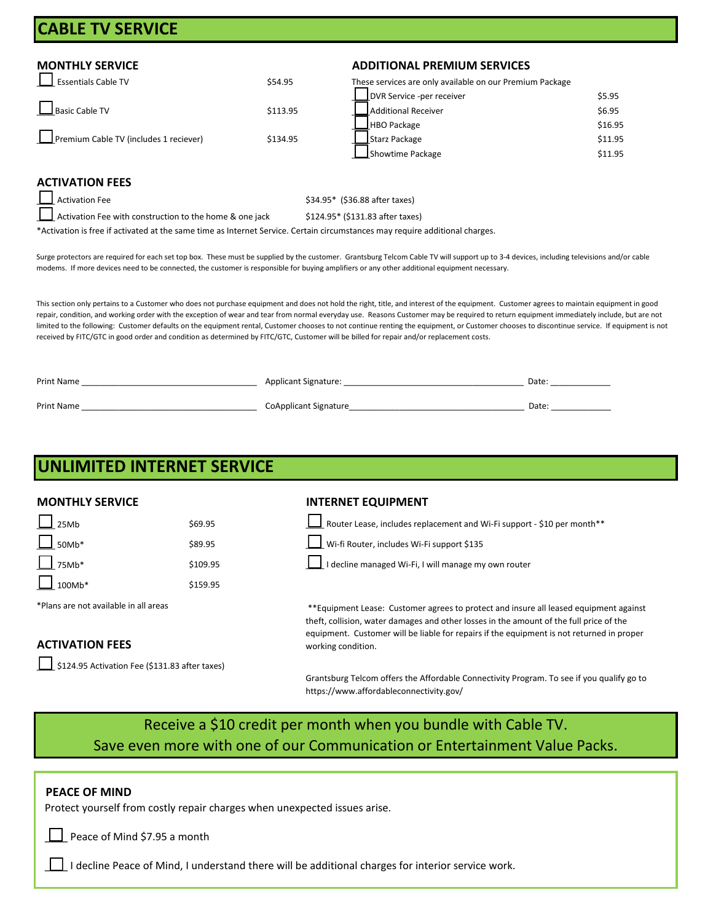## **CABLE TV SERVICE**

| Essentials Cable TV                    | \$54.95  |
|----------------------------------------|----------|
| Basic Cable TV                         | \$113.95 |
| Premium Cable TV (includes 1 reciever) | \$134.95 |

### **MONTHLY SERVICE ADDITIONAL PREMIUM SERVICES**

These services are only available on our Premium Package

|                                        |          | DVR Service -per receiver | \$5.95  |
|----------------------------------------|----------|---------------------------|---------|
| Basic Cable TV                         | \$113.95 | Additional Receiver       | \$6.95  |
|                                        |          | HBO Package               | \$16.95 |
| Premium Cable TV (includes 1 reciever) | \$134.95 | Starz Package             | \$11.95 |
|                                        |          | Showtime Package          | \$11.95 |

### **ACTIVATION FEES**

 $\Box$  Activation Fee  $\angle$  Activation Fee  $\angle$  Activation Fee  $\angle$ Activation Fee with construction to the home & one jack \$124.95\* (\$131.83 after taxes)

\*Activation is free if activated at the same time as Internet Service. Certain circumstances may require additional charges.

Surge protectors are required for each set top box. These must be supplied by the customer. Grantsburg Telcom Cable TV will support up to 3-4 devices, including televisions and/or cable modems. If more devices need to be connected, the customer is responsible for buying amplifiers or any other additional equipment necessary.

This section only pertains to a Customer who does not purchase equipment and does not hold the right, title, and interest of the equipment. Customer agrees to maintain equipment in good repair, condition, and working order with the exception of wear and tear from normal everyday use. Reasons Customer may be required to return equipment immediately include, but are not limited to the following: Customer defaults on the equipment rental, Customer chooses to not continue renting the equipment, or Customer chooses to discontinue service. If equipment is not received by FITC/GTC in good order and condition as determined by FITC/GTC, Customer will be billed for repair and/or replacement costs.

| <b>Print Name</b> | <b>Applicant Signature:</b> | Date              |
|-------------------|-----------------------------|-------------------|
| Print Name        | CoApplicant Signature       | Date <sup>.</sup> |

|                                       | <b>UNLIMITED INTERNET SERVICE</b>              |                                                                                                                                                                                                                                                                               |
|---------------------------------------|------------------------------------------------|-------------------------------------------------------------------------------------------------------------------------------------------------------------------------------------------------------------------------------------------------------------------------------|
| <b>MONTHLY SERVICE</b>                |                                                | <b>INTERNET EQUIPMENT</b>                                                                                                                                                                                                                                                     |
| 25Mb                                  | \$69.95                                        | Router Lease, includes replacement and Wi-Fi support - \$10 per month**                                                                                                                                                                                                       |
| $\frac{1}{2}$ 50Mb*                   | \$89.95                                        | Wi-fi Router, includes Wi-Fi support \$135                                                                                                                                                                                                                                    |
| $\Box$ 75Mb*                          | \$109.95                                       | I decline managed Wi-Fi, I will manage my own router                                                                                                                                                                                                                          |
| 100Mb*                                | \$159.95                                       |                                                                                                                                                                                                                                                                               |
| *Plans are not available in all areas |                                                | **Equipment Lease: Customer agrees to protect and insure all leased equipment against<br>theft, collision, water damages and other losses in the amount of the full price of the<br>equipment. Customer will be liable for repairs if the equipment is not returned in proper |
| <b>ACTIVATION FEES</b>                |                                                | working condition.                                                                                                                                                                                                                                                            |
|                                       | \$124.95 Activation Fee (\$131.83 after taxes) |                                                                                                                                                                                                                                                                               |
|                                       |                                                | Grantsburg Telcom offers the Affordable Connectivity Program. To see if you qualify go to                                                                                                                                                                                     |

https://www.affordableconnectivity.gov/

## Receive a \$10 credit per month when you bundle with Cable TV. Save even more with one of our Communication or Entertainment Value Packs.

### **PEACE OF MIND**

Protect yourself from costly repair charges when unexpected issues arise.

Peace of Mind \$7.95 a month

\_\_\_\_ I decline Peace of Mind, I understand there will be additional charges for interior service work.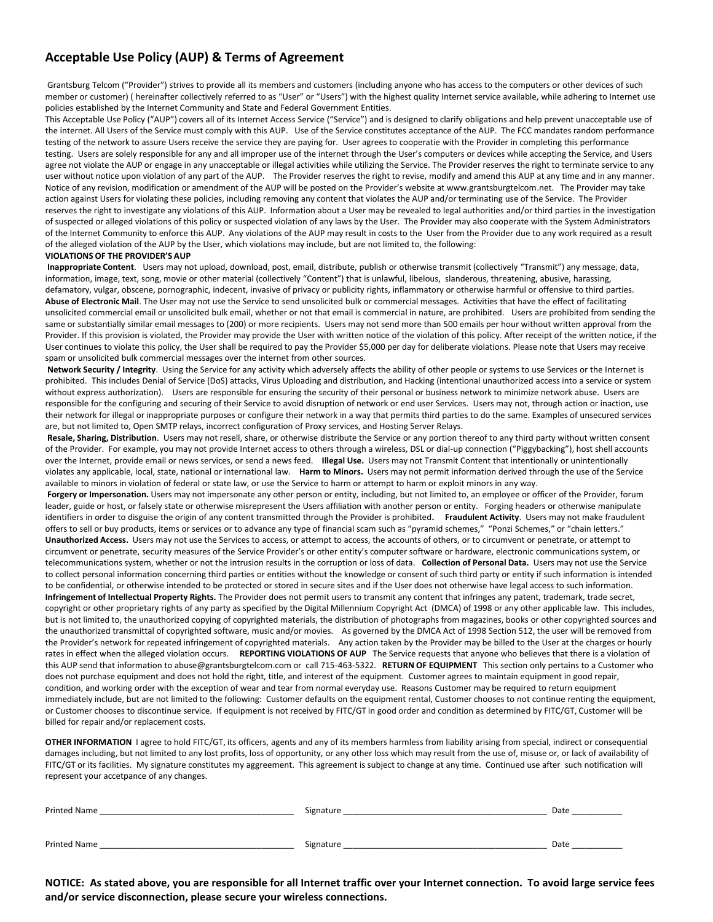### **Acceptable Use Policy (AUP) & Terms of Agreement**

Grantsburg Telcom ("Provider") strives to provide all its members and customers (including anyone who has access to the computers or other devices of such member or customer) ( hereinafter collectively referred to as "User" or "Users") with the highest quality Internet service available, while adhering to Internet use policies established by the Internet Community and State and Federal Government Entities.

This Acceptable Use Policy ("AUP") covers all of its Internet Access Service ("Service") and is designed to clarify obligations and help prevent unacceptable use of the internet. All Users of the Service must comply with this AUP. Use of the Service constitutes acceptance of the AUP. The FCC mandates random performance testing of the network to assure Users receive the service they are paying for. User agrees to cooperatie with the Provider in completing this performance testing. Users are solely responsible for any and all improper use of the internet through the User's computers or devices while accepting the Service, and Users agree not violate the AUP or engage in any unacceptable or illegal activities while utilizing the Service. The Provider reserves the right to terminate service to any user without notice upon violation of any part of the AUP. The Provider reserves the right to revise, modify and amend this AUP at any time and in any manner. Notice of any revision, modification or amendment of the AUP will be posted on the Provider's website at www.grantsburgtelcom.net. The Provider may take action against Users for violating these policies, including removing any content that violates the AUP and/or terminating use of the Service. The Provider reserves the right to investigate any violations of this AUP. Information about a User may be revealed to legal authorities and/or third parties in the investigation of suspected or alleged violations of this policy or suspected violation of any laws by the User. The Provider may also cooperate with the System Administrators of the Internet Community to enforce this AUP. Any violations of the AUP may result in costs to the User from the Provider due to any work required as a result of the alleged violation of the AUP by the User, which violations may include, but are not limited to, the following:

### **VIOLATIONS OF THE PROVIDER'S AUP**

**Inappropriate Content**. Users may not upload, download, post, email, distribute, publish or otherwise transmit (collectively "Transmit") any message, data, information, image, text, song, movie or other material (collectively "Content") that is unlawful, libelous, slanderous, threatening, abusive, harassing, defamatory, vulgar, obscene, pornographic, indecent, invasive of privacy or publicity rights, inflammatory or otherwise harmful or offensive to third parties. **Abuse of Electronic Mail**. The User may not use the Service to send unsolicited bulk or commercial messages. Activities that have the effect of facilitating unsolicited commercial email or unsolicited bulk email, whether or not that email is commercial in nature, are prohibited. Users are prohibited from sending the same or substantially similar email messages to (200) or more recipients. Users may not send more than 500 emails per hour without written approval from the Provider. If this provision is violated, the Provider may provide the User with written notice of the violation of this policy. After receipt of the written notice, if the User continues to violate this policy, the User shall be required to pay the Provider \$5,000 per day for deliberate violations. Please note that Users may receive spam or unsolicited bulk commercial messages over the internet from other sources.

**Network Security / Integrity**. Using the Service for any activity which adversely affects the ability of other people or systems to use Services or the Internet is prohibited. This includes Denial of Service (DoS) attacks, Virus Uploading and distribution, and Hacking (intentional unauthorized access into a service or system without express authorization). Users are responsible for ensuring the security of their personal or business network to minimize network abuse. Users are responsible for the configuring and securing of their Service to avoid disruption of network or end user Services. Users may not, through action or inaction, use their network for illegal or inappropriate purposes or configure their network in a way that permits third parties to do the same. Examples of unsecured services are, but not limited to, Open SMTP relays, incorrect configuration of Proxy services, and Hosting Server Relays.

**Resale, Sharing, Distribution**. Users may not resell, share, or otherwise distribute the Service or any portion thereof to any third party without written consent of the Provider. For example, you may not provide Internet access to others through a wireless, DSL or dial-up connection ("Piggybacking"), host shell accounts over the Internet, provide email or news services, or send a news feed. **Illegal Use.** Users may not Transmit Content that intentionally or unintentionally violates any applicable, local, state, national or international law. **Harm to Minors.** Users may not permit information derived through the use of the Service available to minors in violation of federal or state law, or use the Service to harm or attempt to harm or exploit minors in any way.

Forgery or Impersonation. Users may not impersonate any other person or entity, including, but not limited to, an employee or officer of the Provider, forum leader, guide or host, or falsely state or otherwise misrepresent the Users affiliation with another person or entity. Forging headers or otherwise manipulate identifiers in order to disguise the origin of any content transmitted through the Provider is prohibited**. Fraudulent Activity**. Users may not make fraudulent offers to sell or buy products, items or services or to advance any type of financial scam such as "pyramid schemes," "Ponzi Schemes," or "chain letters." **Unauthorized Access.** Users may not use the Services to access, or attempt to access, the accounts of others, or to circumvent or penetrate, or attempt to circumvent or penetrate, security measures of the Service Provider's or other entity's computer software or hardware, electronic communications system, or telecommunications system, whether or not the intrusion results in the corruption or loss of data. **Collection of Personal Data.** Users may not use the Service to collect personal information concerning third parties or entities without the knowledge or consent of such third party or entity if such information is intended to be confidential, or otherwise intended to be protected or stored in secure sites and if the User does not otherwise have legal access to such information. **Infringement of Intellectual Property Rights.** The Provider does not permit users to transmit any content that infringes any patent, trademark, trade secret, copyright or other proprietary rights of any party as specified by the Digital Millennium Copyright Act (DMCA) of 1998 or any other applicable law. This includes, but is not limited to, the unauthorized copying of copyrighted materials, the distribution of photographs from magazines, books or other copyrighted sources and the unauthorized transmittal of copyrighted software, music and/or movies. As governed by the DMCA Act of 1998 Section 512, the user will be removed from the Provider's network for repeated infringement of copyrighted materials. Any action taken by the Provider may be billed to the User at the charges or hourly rates in effect when the alleged violation occurs. **REPORTING VIOLATIONS OF AUP** The Service requests that anyone who believes that there is a violation of this AUP send that information to abuse@grantsburgtelcom.com or call 715-463-5322. **RETURN OF EQUIPMENT** This section only pertains to a Customer who does not purchase equipment and does not hold the right, title, and interest of the equipment. Customer agrees to maintain equipment in good repair, condition, and working order with the exception of wear and tear from normal everyday use. Reasons Customer may be required to return equipment immediately include, but are not limited to the following: Customer defaults on the equipment rental, Customer chooses to not continue renting the equipment, or Customer chooses to discontinue service. If equipment is not received by FITC/GT in good order and condition as determined by FITC/GT, Customer will be billed for repair and/or replacement costs.

**OTHER INFORMATION** I agree to hold FITC/GT, its officers, agents and any of its members harmless from liability arising from special, indirect or consequential damages including, but not limited to any lost profits, loss of opportunity, or any other loss which may result from the use of, misuse or, or lack of availability of FITC/GT or its facilities. My signature constitutes my aggreement. This agreement is subject to change at any time. Continued use after such notification will represent your accetpance of any changes.

| <b>Printed Name</b> | Signature | Date |
|---------------------|-----------|------|
|                     |           |      |
| Printed Name        | Signature | Date |

**NOTICE: As stated above, you are responsible for all Internet traffic over your Internet connection. To avoid large service fees and/or service disconnection, please secure your wireless connections.**